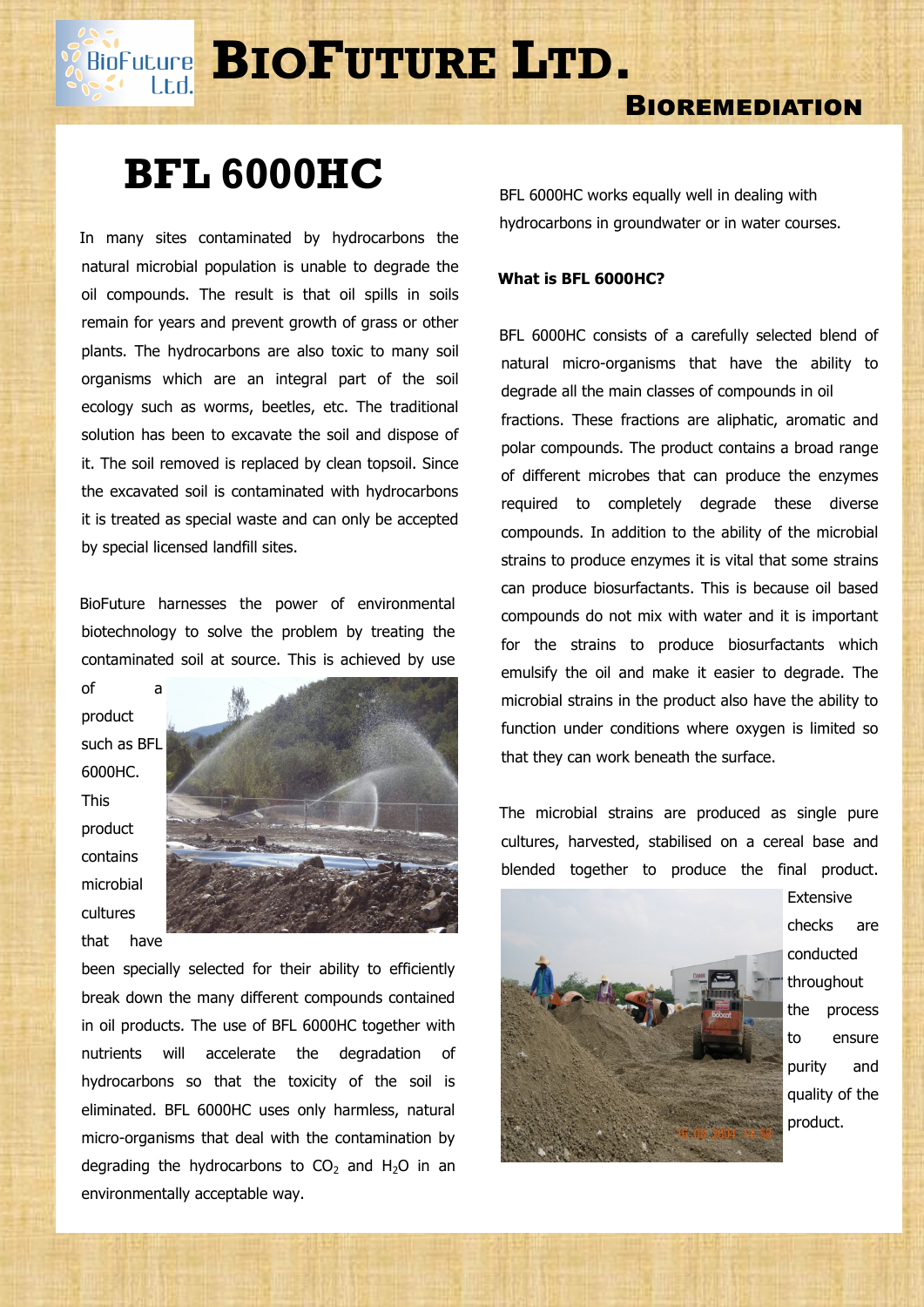**BIOFUTURE** LTD.

## **BIOREMEDIATION**

# **BFL 6000HC**

Lt.d.

 In many sites contaminated by hydrocarbons the natural microbial population is unable to degrade the oil compounds. The result is that oil spills in soils remain for years and prevent growth of grass or other plants. The hydrocarbons are also toxic to many soil organisms which are an integral part of the soil ecology such as worms, beetles, etc. The traditional solution has been to excavate the soil and dispose of it. The soil removed is replaced by clean topsoil. Since the excavated soil is contaminated with hydrocarbons it is treated as special waste and can only be accepted by special licensed landfill sites.

 BioFuture harnesses the power of environmental biotechnology to solve the problem by treating the contaminated soil at source. This is achieved by use

product such as BFL 6000HC. This product contains microbial cultures that have

of a



been specially selected for their ability to efficiently break down the many different compounds contained in oil products. The use of BFL 6000HC together with nutrients will accelerate the degradation of hydrocarbons so that the toxicity of the soil is eliminated. BFL 6000HC uses only harmless, natural micro-organisms that deal with the contamination by degrading the hydrocarbons to  $CO<sub>2</sub>$  and H<sub>2</sub>O in an environmentally acceptable way.

BFL 6000HC works equally well in dealing with hydrocarbons in groundwater or in water courses.

#### **What is BFL 6000HC?**

 BFL 6000HC consists of a carefully selected blend of natural micro-organisms that have the ability to degrade all the main classes of compounds in oil fractions. These fractions are aliphatic, aromatic and polar compounds. The product contains a broad range of different microbes that can produce the enzymes required to completely degrade these diverse compounds. In addition to the ability of the microbial strains to produce enzymes it is vital that some strains can produce biosurfactants. This is because oil based compounds do not mix with water and it is important for the strains to produce biosurfactants which emulsify the oil and make it easier to degrade. The microbial strains in the product also have the ability to function under conditions where oxygen is limited so that they can work beneath the surface.

 The microbial strains are produced as single pure cultures, harvested, stabilised on a cereal base and blended together to produce the final product.



Extensive checks are conducted throughout the process to ensure purity and quality of the product.